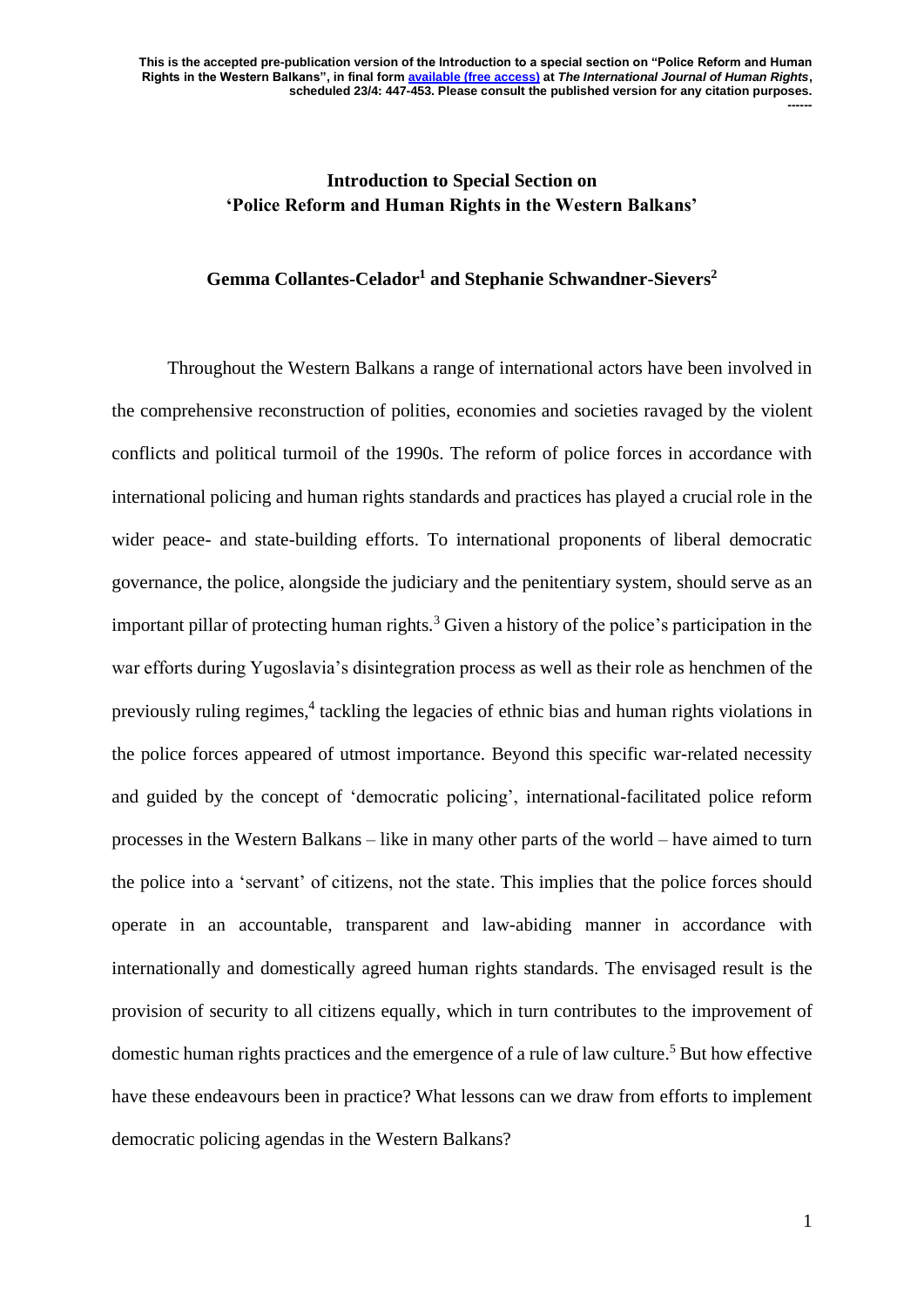## **Introduction to Special Section on 'Police Reform and Human Rights in the Western Balkans'**

## **Gemma Collantes-Celador<sup>1</sup> and Stephanie Schwandner-Sievers<sup>2</sup>**

Throughout the Western Balkans a range of international actors have been involved in the comprehensive reconstruction of polities, economies and societies ravaged by the violent conflicts and political turmoil of the 1990s. The reform of police forces in accordance with international policing and human rights standards and practices has played a crucial role in the wider peace- and state-building efforts. To international proponents of liberal democratic governance, the police, alongside the judiciary and the penitentiary system, should serve as an important pillar of protecting human rights.<sup>3</sup> Given a history of the police's participation in the war efforts during Yugoslavia's disintegration process as well as their role as henchmen of the previously ruling regimes,<sup>4</sup> tackling the legacies of ethnic bias and human rights violations in the police forces appeared of utmost importance. Beyond this specific war-related necessity and guided by the concept of 'democratic policing', international-facilitated police reform processes in the Western Balkans – like in many other parts of the world – have aimed to turn the police into a 'servant' of citizens, not the state. This implies that the police forces should operate in an accountable, transparent and law-abiding manner in accordance with internationally and domestically agreed human rights standards. The envisaged result is the provision of security to all citizens equally, which in turn contributes to the improvement of domestic human rights practices and the emergence of a rule of law culture.<sup>5</sup> But how effective have these endeavours been in practice? What lessons can we draw from efforts to implement democratic policing agendas in the Western Balkans?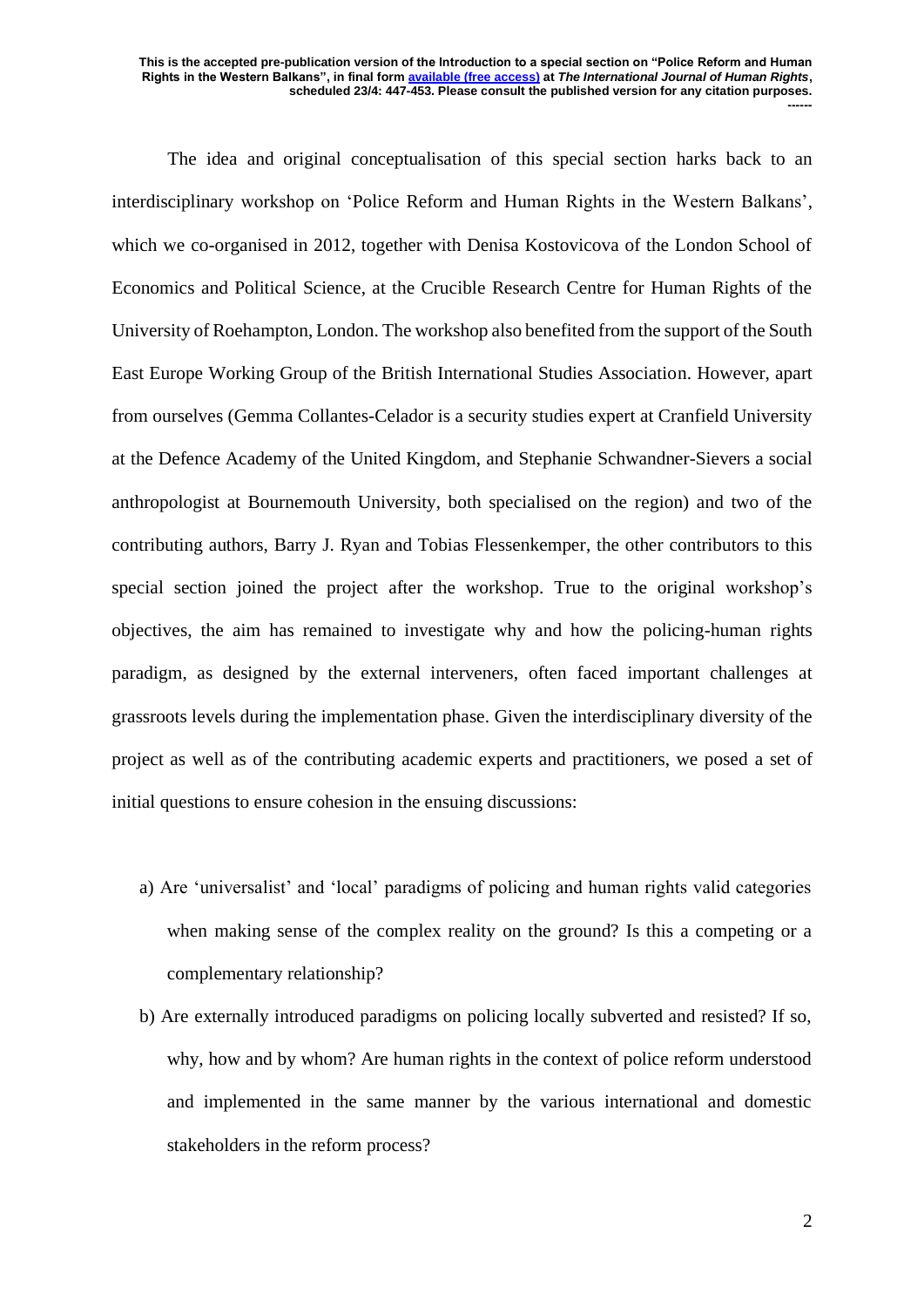The idea and original conceptualisation of this special section harks back to an interdisciplinary workshop on 'Police Reform and Human Rights in the Western Balkans', which we co-organised in 2012, together with Denisa Kostovicova of the London School of Economics and Political Science, at the Crucible Research Centre for Human Rights of the University of Roehampton, London. The workshop also benefited from the support of the South East Europe Working Group of the British International Studies Association. However, apart from ourselves (Gemma Collantes-Celador is a security studies expert at Cranfield University at the Defence Academy of the United Kingdom, and Stephanie Schwandner-Sievers a social anthropologist at Bournemouth University, both specialised on the region) and two of the contributing authors, Barry J. Ryan and Tobias Flessenkemper, the other contributors to this special section joined the project after the workshop. True to the original workshop's objectives, the aim has remained to investigate why and how the policing-human rights paradigm, as designed by the external interveners, often faced important challenges at grassroots levels during the implementation phase. Given the interdisciplinary diversity of the project as well as of the contributing academic experts and practitioners, we posed a set of initial questions to ensure cohesion in the ensuing discussions:

- a) Are 'universalist' and 'local' paradigms of policing and human rights valid categories when making sense of the complex reality on the ground? Is this a competing or a complementary relationship?
- b) Are externally introduced paradigms on policing locally subverted and resisted? If so, why, how and by whom? Are human rights in the context of police reform understood and implemented in the same manner by the various international and domestic stakeholders in the reform process?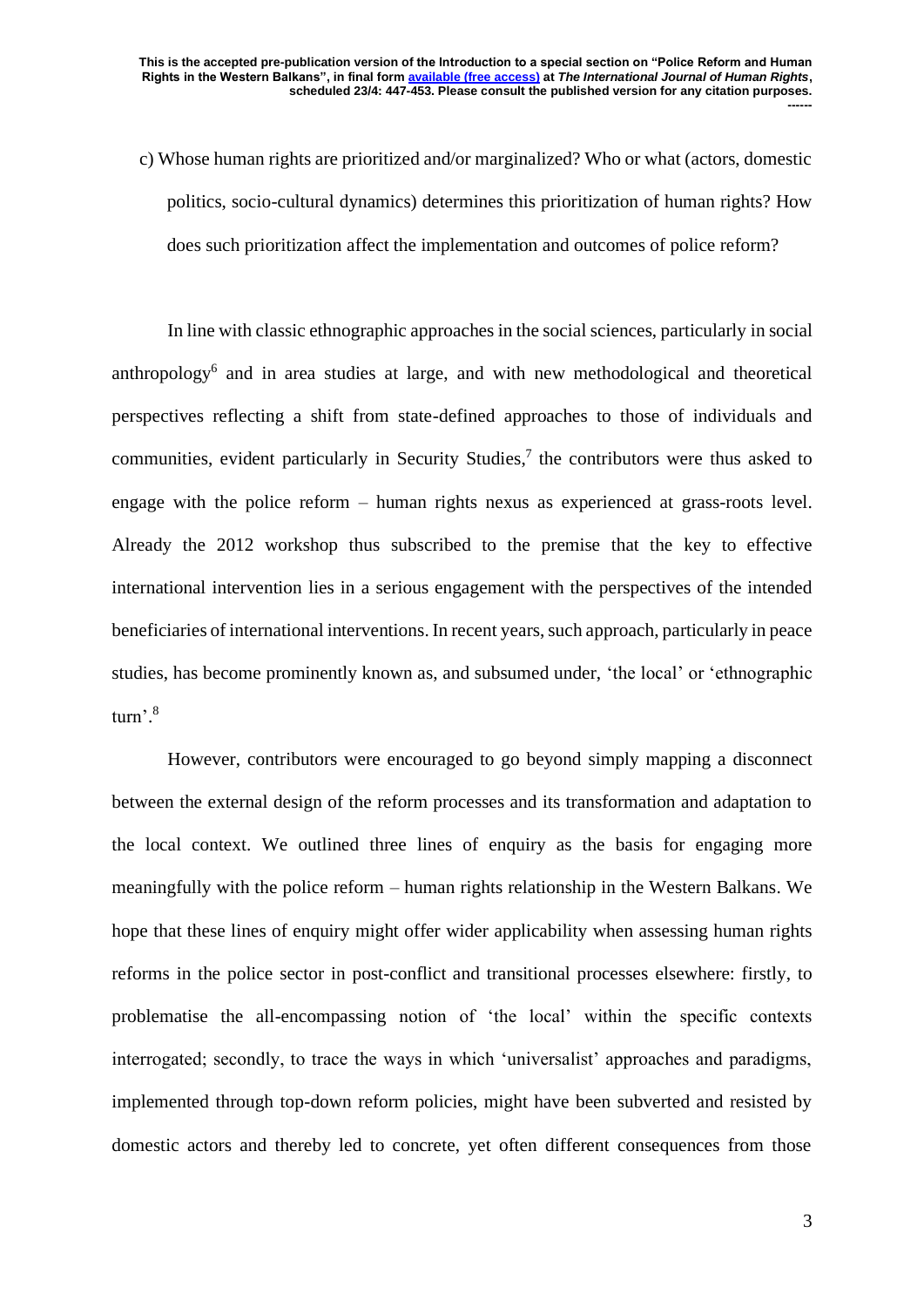c) Whose human rights are prioritized and/or marginalized? Who or what (actors, domestic politics, socio-cultural dynamics) determines this prioritization of human rights? How does such prioritization affect the implementation and outcomes of police reform?

In line with classic ethnographic approaches in the social sciences, particularly in social anthropology<sup>6</sup> and in area studies at large, and with new methodological and theoretical perspectives reflecting a shift from state-defined approaches to those of individuals and communities, evident particularly in Security Studies, 7 the contributors were thus asked to engage with the police reform – human rights nexus as experienced at grass-roots level. Already the 2012 workshop thus subscribed to the premise that the key to effective international intervention lies in a serious engagement with the perspectives of the intended beneficiaries of international interventions. In recent years, such approach, particularly in peace studies, has become prominently known as, and subsumed under, 'the local' or 'ethnographic turn'. 8

However, contributors were encouraged to go beyond simply mapping a disconnect between the external design of the reform processes and its transformation and adaptation to the local context. We outlined three lines of enquiry as the basis for engaging more meaningfully with the police reform – human rights relationship in the Western Balkans. We hope that these lines of enquiry might offer wider applicability when assessing human rights reforms in the police sector in post-conflict and transitional processes elsewhere: firstly, to problematise the all-encompassing notion of 'the local' within the specific contexts interrogated; secondly, to trace the ways in which 'universalist' approaches and paradigms, implemented through top-down reform policies, might have been subverted and resisted by domestic actors and thereby led to concrete, yet often different consequences from those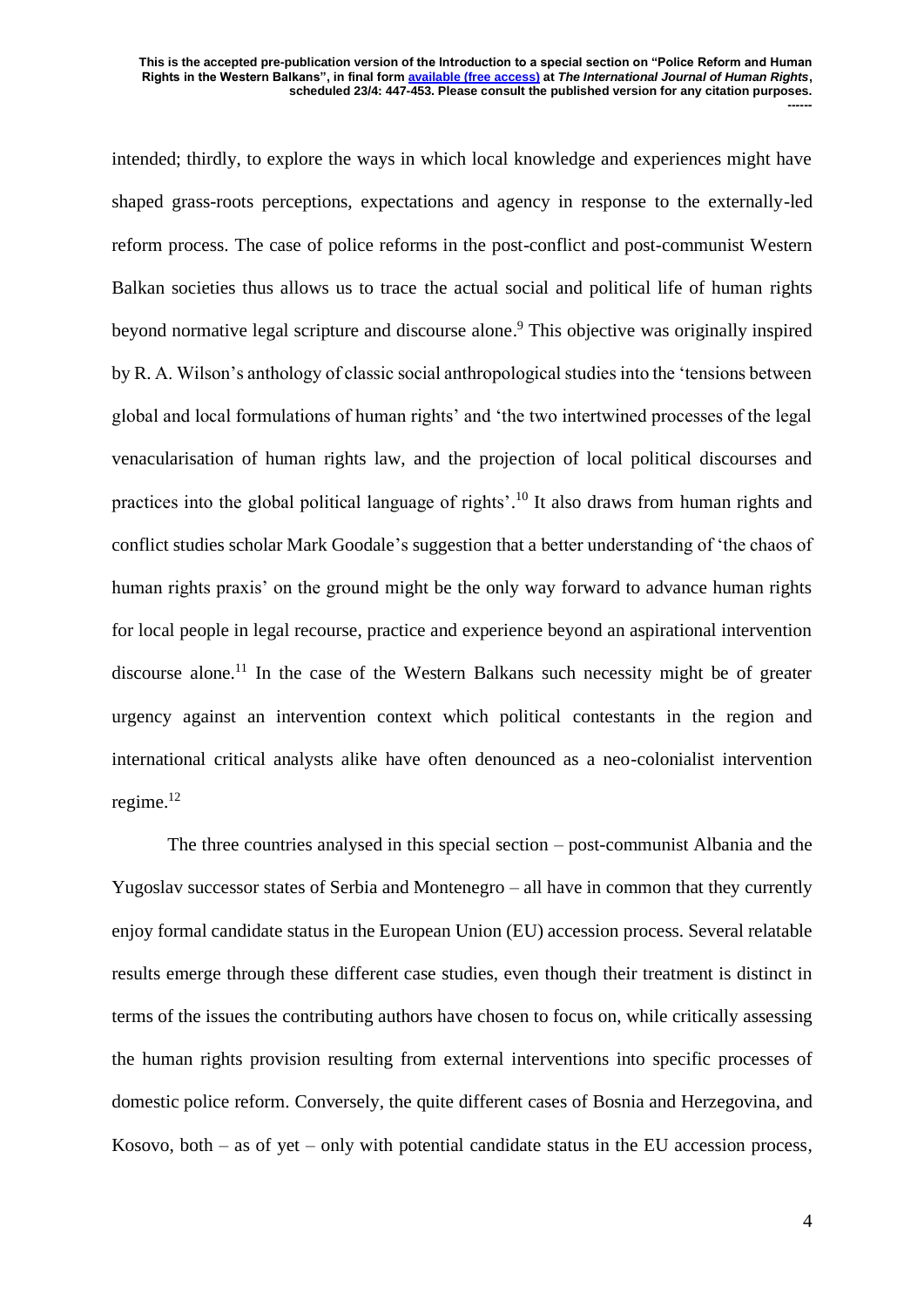intended; thirdly, to explore the ways in which local knowledge and experiences might have shaped grass-roots perceptions, expectations and agency in response to the externally-led reform process. The case of police reforms in the post-conflict and post-communist Western Balkan societies thus allows us to trace the actual social and political life of human rights beyond normative legal scripture and discourse alone. <sup>9</sup> This objective was originally inspired by R. A. Wilson's anthology of classic social anthropological studies into the 'tensions between global and local formulations of human rights' and 'the two intertwined processes of the legal venacularisation of human rights law, and the projection of local political discourses and practices into the global political language of rights'.<sup>10</sup> It also draws from human rights and conflict studies scholar Mark Goodale's suggestion that a better understanding of 'the chaos of human rights praxis' on the ground might be the only way forward to advance human rights for local people in legal recourse, practice and experience beyond an aspirational intervention discourse alone.<sup>11</sup> In the case of the Western Balkans such necessity might be of greater urgency against an intervention context which political contestants in the region and international critical analysts alike have often denounced as a neo-colonialist intervention regime. 12

The three countries analysed in this special section – post-communist Albania and the Yugoslav successor states of Serbia and Montenegro – all have in common that they currently enjoy formal candidate status in the European Union (EU) accession process. Several relatable results emerge through these different case studies, even though their treatment is distinct in terms of the issues the contributing authors have chosen to focus on, while critically assessing the human rights provision resulting from external interventions into specific processes of domestic police reform. Conversely, the quite different cases of Bosnia and Herzegovina, and Kosovo, both – as of yet – only with potential candidate status in the EU accession process,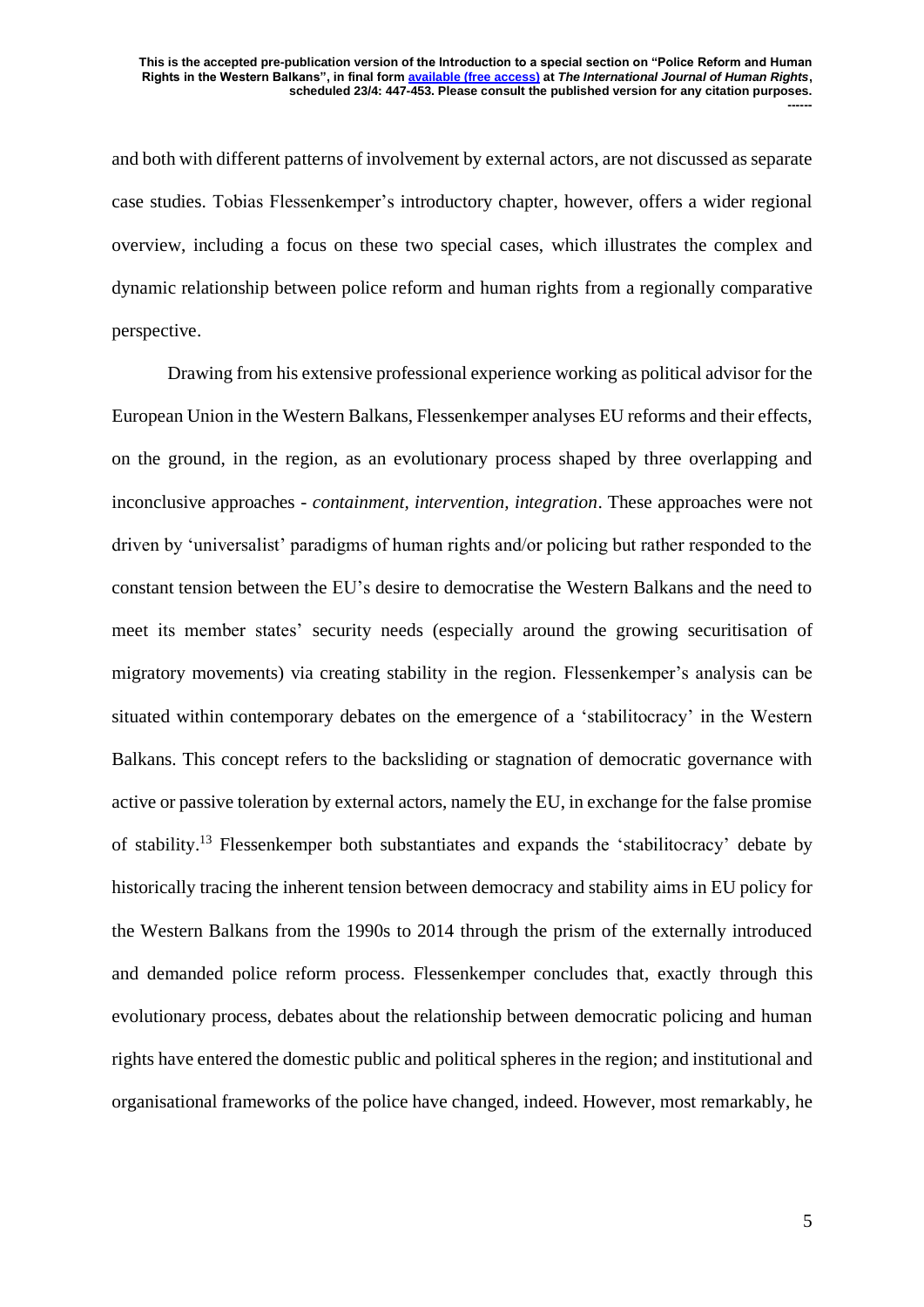and both with different patterns of involvement by external actors, are not discussed as separate case studies. Tobias Flessenkemper's introductory chapter, however, offers a wider regional overview, including a focus on these two special cases, which illustrates the complex and dynamic relationship between police reform and human rights from a regionally comparative perspective.

Drawing from his extensive professional experience working as political advisor for the European Union in the Western Balkans, Flessenkemper analyses EU reforms and their effects, on the ground, in the region, as an evolutionary process shaped by three overlapping and inconclusive approaches - *containment, intervention, integration*. These approaches were not driven by 'universalist' paradigms of human rights and/or policing but rather responded to the constant tension between the EU's desire to democratise the Western Balkans and the need to meet its member states' security needs (especially around the growing securitisation of migratory movements) via creating stability in the region. Flessenkemper's analysis can be situated within contemporary debates on the emergence of a 'stabilitocracy' in the Western Balkans. This concept refers to the backsliding or stagnation of democratic governance with active or passive toleration by external actors, namely the EU, in exchange for the false promise of stability.<sup>13</sup> Flessenkemper both substantiates and expands the 'stabilitocracy' debate by historically tracing the inherent tension between democracy and stability aims in EU policy for the Western Balkans from the 1990s to 2014 through the prism of the externally introduced and demanded police reform process. Flessenkemper concludes that, exactly through this evolutionary process, debates about the relationship between democratic policing and human rights have entered the domestic public and political spheres in the region; and institutional and organisational frameworks of the police have changed, indeed. However, most remarkably, he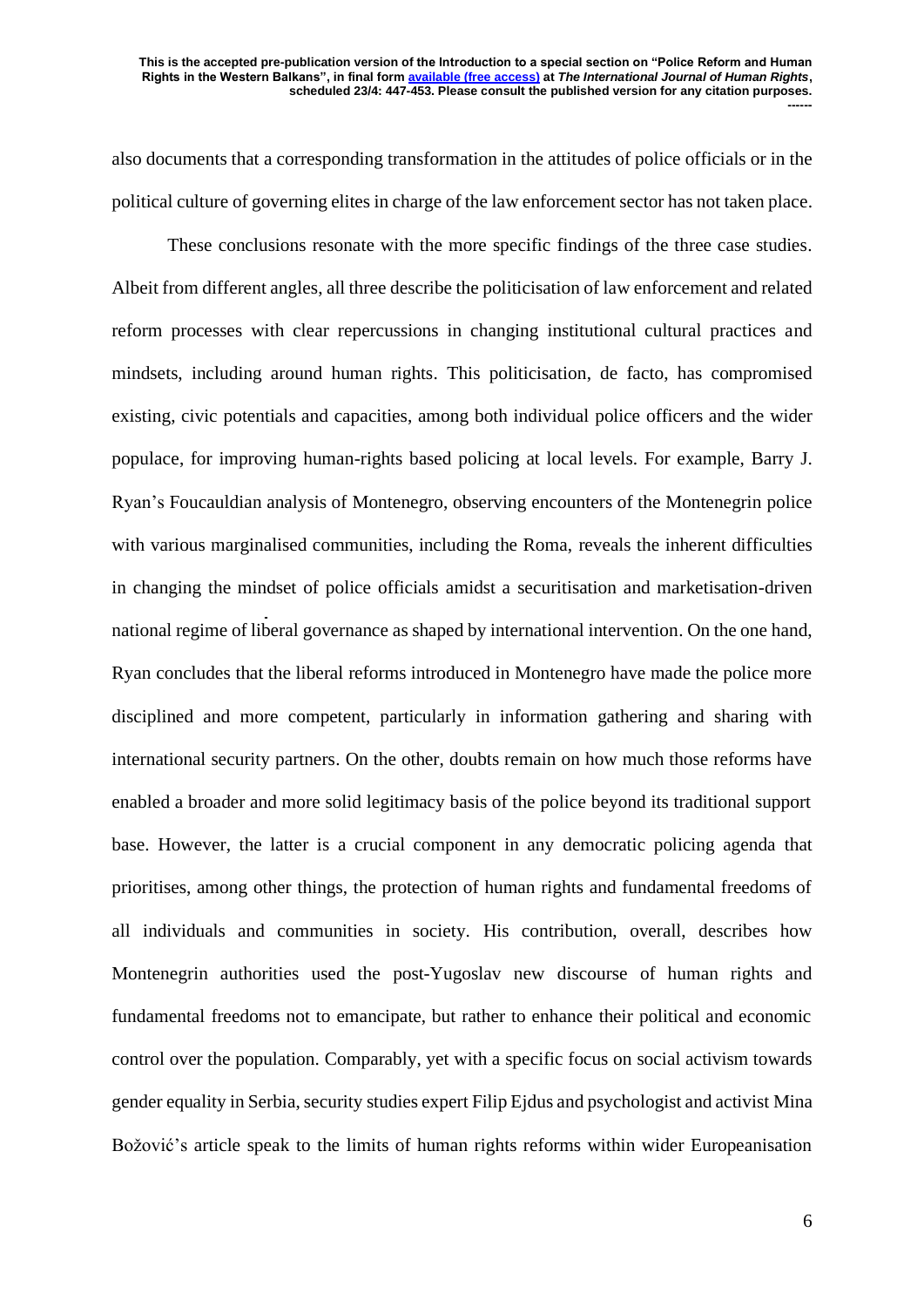also documents that a corresponding transformation in the attitudes of police officials or in the political culture of governing elites in charge of the law enforcement sector has not taken place.

These conclusions resonate with the more specific findings of the three case studies. Albeit from different angles, all three describe the politicisation of law enforcement and related reform processes with clear repercussions in changing institutional cultural practices and mindsets, including around human rights. This politicisation, de facto, has compromised existing, civic potentials and capacities, among both individual police officers and the wider populace, for improving human-rights based policing at local levels. For example, Barry J. Ryan's Foucauldian analysis of Montenegro, observing encounters of the Montenegrin police with various marginalised communities, including the Roma, reveals the inherent difficulties in changing the mindset of police officials amidst a securitisation and marketisation-driven national regime of liberal governance as shaped by international intervention. On the one hand, Ryan concludes that the liberal reforms introduced in Montenegro have made the police more disciplined and more competent, particularly in information gathering and sharing with international security partners. On the other, doubts remain on how much those reforms have enabled a broader and more solid legitimacy basis of the police beyond its traditional support base. However, the latter is a crucial component in any democratic policing agenda that prioritises, among other things, the protection of human rights and fundamental freedoms of all individuals and communities in society. His contribution, overall, describes how Montenegrin authorities used the post-Yugoslav new discourse of human rights and fundamental freedoms not to emancipate, but rather to enhance their political and economic control over the population. Comparably, yet with a specific focus on social activism towards gender equality in Serbia, security studies expert Filip Ejdus and psychologist and activist Mina Božović's article speak to the limits of human rights reforms within wider Europeanisation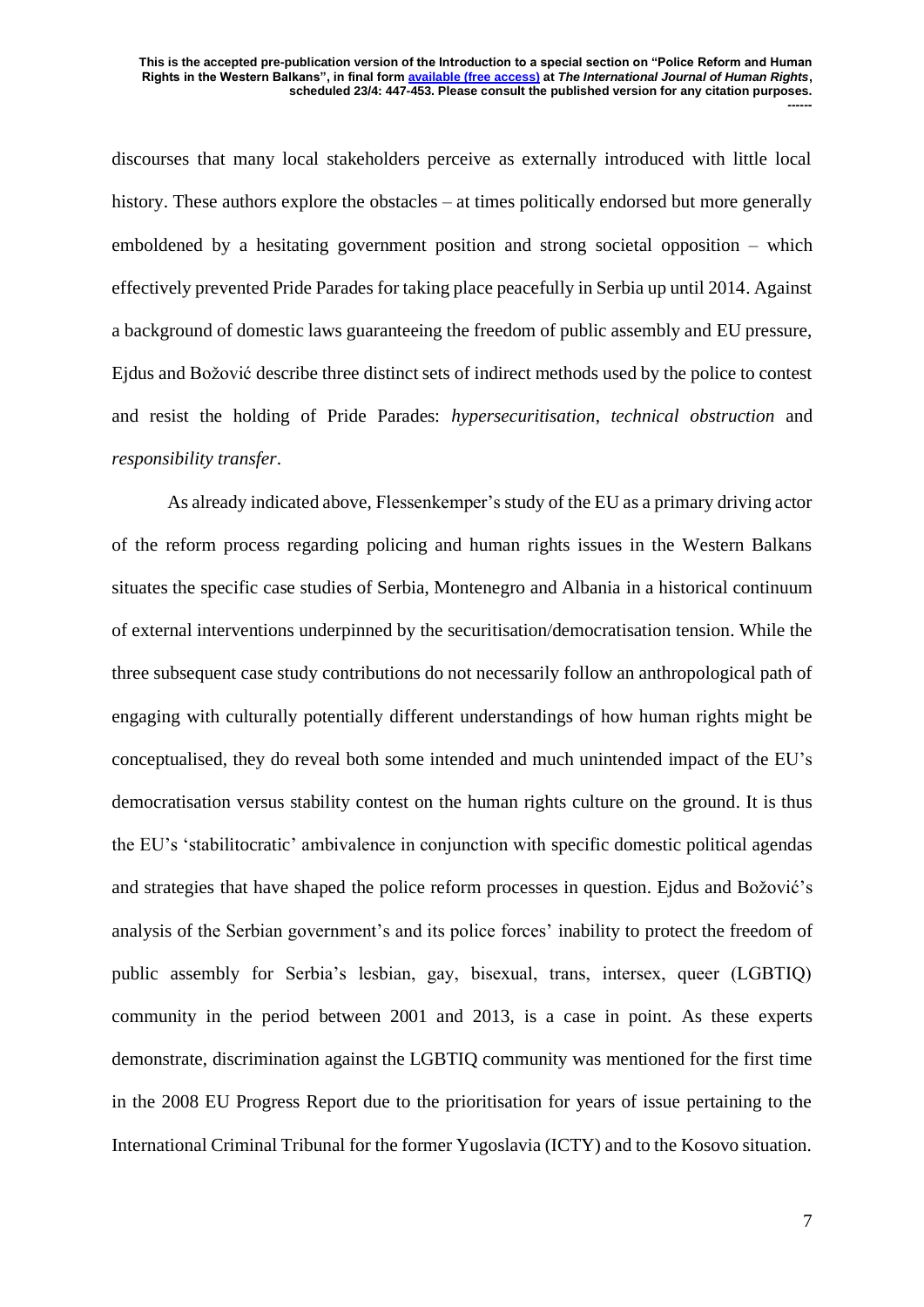discourses that many local stakeholders perceive as externally introduced with little local history. These authors explore the obstacles – at times politically endorsed but more generally emboldened by a hesitating government position and strong societal opposition – which effectively prevented Pride Parades for taking place peacefully in Serbia up until 2014. Against a background of domestic laws guaranteeing the freedom of public assembly and EU pressure, Ejdus and Božović describe three distinct sets of indirect methods used by the police to contest and resist the holding of Pride Parades: *hypersecuritisation*, *technical obstruction* and *responsibility transfer*.

As already indicated above, Flessenkemper's study of the EU as a primary driving actor of the reform process regarding policing and human rights issues in the Western Balkans situates the specific case studies of Serbia, Montenegro and Albania in a historical continuum of external interventions underpinned by the securitisation/democratisation tension. While the three subsequent case study contributions do not necessarily follow an anthropological path of engaging with culturally potentially different understandings of how human rights might be conceptualised, they do reveal both some intended and much unintended impact of the EU's democratisation versus stability contest on the human rights culture on the ground. It is thus the EU's 'stabilitocratic' ambivalence in conjunction with specific domestic political agendas and strategies that have shaped the police reform processes in question. Ejdus and Božović's analysis of the Serbian government's and its police forces' inability to protect the freedom of public assembly for Serbia's lesbian, gay, bisexual, trans, intersex, queer (LGBTIQ) community in the period between 2001 and 2013, is a case in point. As these experts demonstrate, discrimination against the LGBTIQ community was mentioned for the first time in the 2008 EU Progress Report due to the prioritisation for years of issue pertaining to the International Criminal Tribunal for the former Yugoslavia (ICTY) and to the Kosovo situation.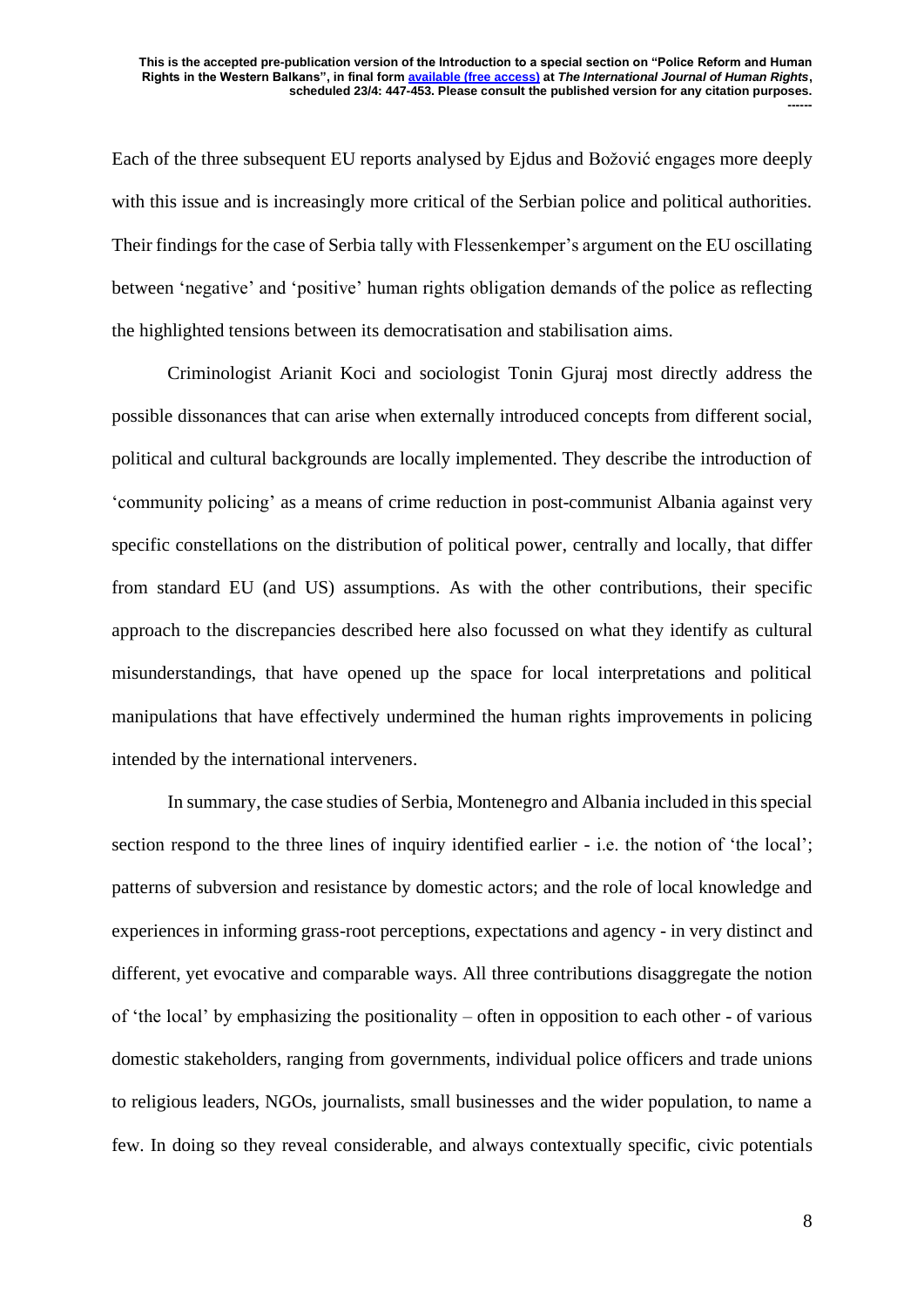Each of the three subsequent EU reports analysed by Ejdus and Božović engages more deeply with this issue and is increasingly more critical of the Serbian police and political authorities. Their findings for the case of Serbia tally with Flessenkemper's argument on the EU oscillating between 'negative' and 'positive' human rights obligation demands of the police as reflecting the highlighted tensions between its democratisation and stabilisation aims.

Criminologist Arianit Koci and sociologist Tonin Gjuraj most directly address the possible dissonances that can arise when externally introduced concepts from different social, political and cultural backgrounds are locally implemented. They describe the introduction of 'community policing' as a means of crime reduction in post-communist Albania against very specific constellations on the distribution of political power, centrally and locally, that differ from standard EU (and US) assumptions. As with the other contributions, their specific approach to the discrepancies described here also focussed on what they identify as cultural misunderstandings, that have opened up the space for local interpretations and political manipulations that have effectively undermined the human rights improvements in policing intended by the international interveners.

In summary, the case studies of Serbia, Montenegro and Albania included in this special section respond to the three lines of inquiry identified earlier - i.e. the notion of 'the local'; patterns of subversion and resistance by domestic actors; and the role of local knowledge and experiences in informing grass-root perceptions, expectations and agency - in very distinct and different, yet evocative and comparable ways. All three contributions disaggregate the notion of 'the local' by emphasizing the positionality – often in opposition to each other - of various domestic stakeholders, ranging from governments, individual police officers and trade unions to religious leaders, NGOs, journalists, small businesses and the wider population, to name a few. In doing so they reveal considerable, and always contextually specific, civic potentials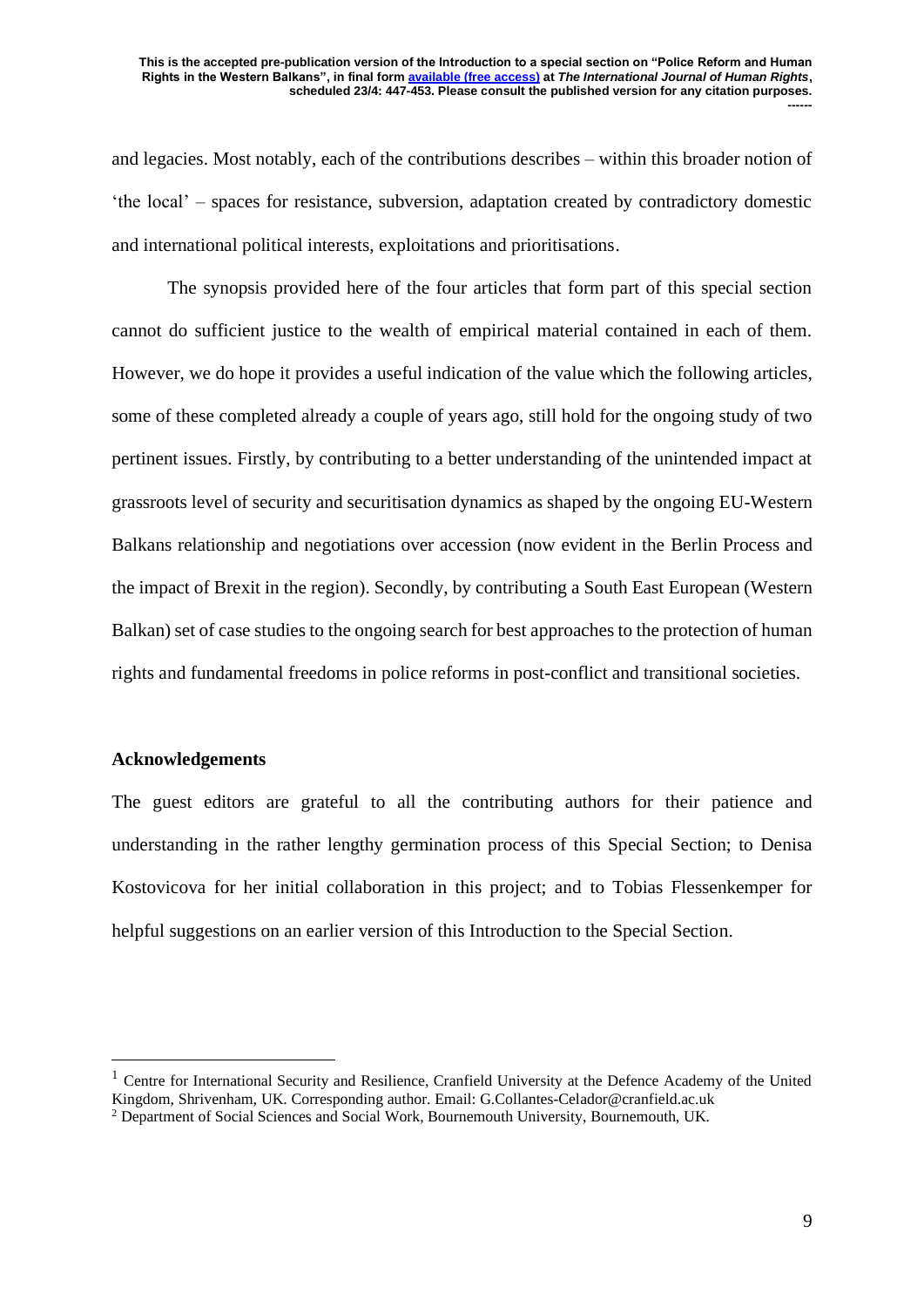and legacies. Most notably, each of the contributions describes – within this broader notion of 'the local' – spaces for resistance, subversion, adaptation created by contradictory domestic and international political interests, exploitations and prioritisations.

The synopsis provided here of the four articles that form part of this special section cannot do sufficient justice to the wealth of empirical material contained in each of them. However, we do hope it provides a useful indication of the value which the following articles, some of these completed already a couple of years ago, still hold for the ongoing study of two pertinent issues. Firstly, by contributing to a better understanding of the unintended impact at grassroots level of security and securitisation dynamics as shaped by the ongoing EU-Western Balkans relationship and negotiations over accession (now evident in the Berlin Process and the impact of Brexit in the region). Secondly, by contributing a South East European (Western Balkan) set of case studies to the ongoing search for best approaches to the protection of human rights and fundamental freedoms in police reforms in post-conflict and transitional societies.

## **Acknowledgements**

The guest editors are grateful to all the contributing authors for their patience and understanding in the rather lengthy germination process of this Special Section; to Denisa Kostovicova for her initial collaboration in this project; and to Tobias Flessenkemper for helpful suggestions on an earlier version of this Introduction to the Special Section.

 $<sup>1</sup>$  Centre for International Security and Resilience, Cranfield University at the Defence Academy of the United</sup> Kingdom, Shrivenham, UK. Corresponding author. Email: G.Collantes-Celador@cranfield.ac.uk

<sup>2</sup> Department of Social Sciences and Social Work, Bournemouth University, Bournemouth, UK.